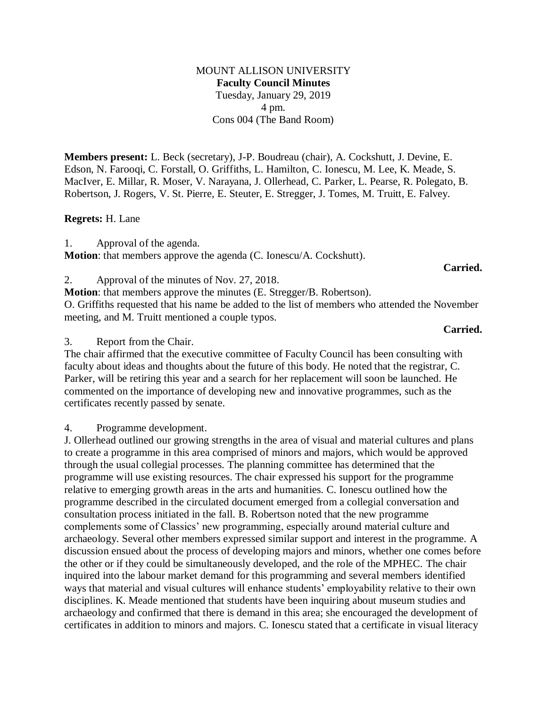MOUNT ALLISON UNIVERSITY **Faculty Council Minutes** Tuesday, January 29, 2019 4 pm. Cons 004 (The Band Room)

**Members present:** L. Beck (secretary), J-P. Boudreau (chair), A. Cockshutt, J. Devine, E. Edson, N. Farooqi, C. Forstall, O. Griffiths, L. Hamilton, C. Ionescu, M. Lee, K. Meade, S. MacIver, E. Millar, R. Moser, V. Narayana, J. Ollerhead, C. Parker, L. Pearse, R. Polegato, B. Robertson, J. Rogers, V. St. Pierre, E. Steuter, E. Stregger, J. Tomes, M. Truitt, E. Falvey.

## **Regrets:** H. Lane

1. Approval of the agenda.

**Motion**: that members approve the agenda (C. Ionescu/A. Cockshutt).

2. Approval of the minutes of Nov. 27, 2018.

**Motion**: that members approve the minutes (E. Stregger/B. Robertson). O. Griffiths requested that his name be added to the list of members who attended the November meeting, and M. Truitt mentioned a couple typos.

## **Carried.**

**Carried.**

3. Report from the Chair.

The chair affirmed that the executive committee of Faculty Council has been consulting with faculty about ideas and thoughts about the future of this body. He noted that the registrar, C. Parker, will be retiring this year and a search for her replacement will soon be launched. He commented on the importance of developing new and innovative programmes, such as the certificates recently passed by senate.

4. Programme development.

J. Ollerhead outlined our growing strengths in the area of visual and material cultures and plans to create a programme in this area comprised of minors and majors, which would be approved through the usual collegial processes. The planning committee has determined that the programme will use existing resources. The chair expressed his support for the programme relative to emerging growth areas in the arts and humanities. C. Ionescu outlined how the programme described in the circulated document emerged from a collegial conversation and consultation process initiated in the fall. B. Robertson noted that the new programme complements some of Classics' new programming, especially around material culture and archaeology. Several other members expressed similar support and interest in the programme. A discussion ensued about the process of developing majors and minors, whether one comes before the other or if they could be simultaneously developed, and the role of the MPHEC. The chair inquired into the labour market demand for this programming and several members identified ways that material and visual cultures will enhance students' employability relative to their own disciplines. K. Meade mentioned that students have been inquiring about museum studies and archaeology and confirmed that there is demand in this area; she encouraged the development of certificates in addition to minors and majors. C. Ionescu stated that a certificate in visual literacy